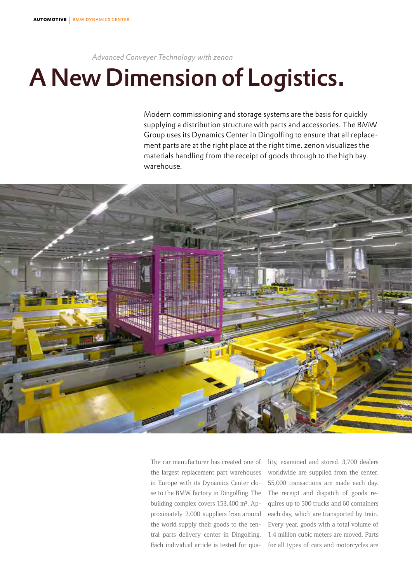### *Advanced Conveyer Technology with zenon*

# A New Dimension of Logistics.

Modern commissioning and storage systems are the basis for quickly supplying a distribution structure with parts and accessories. The BMW Group uses its Dynamics Center in Dingolfing to ensure that all replacement parts are at the right place at the right time. zenon visualizes the materials handling from the receipt of goods through to the high bay warehouse.



The car manufacturer has created one of the largest replacement part warehouses in Europe with its Dynamics Center close to the BMW factory in Dingolfing. The building complex covers 153,400 m². Approximately 2,000 suppliers from around the world supply their goods to the central parts delivery center in Dingolfing. Each individual article is tested for quality, examined and stored. 3,700 dealers worldwide are supplied from the center. 55,000 transactions are made each day. The receipt and dispatch of goods requires up to 500 trucks and 60 containers each day, which are transported by train. Every year, goods with a total volume of 1.4 million cubic meters are moved. Parts for all types of cars and motorcycles are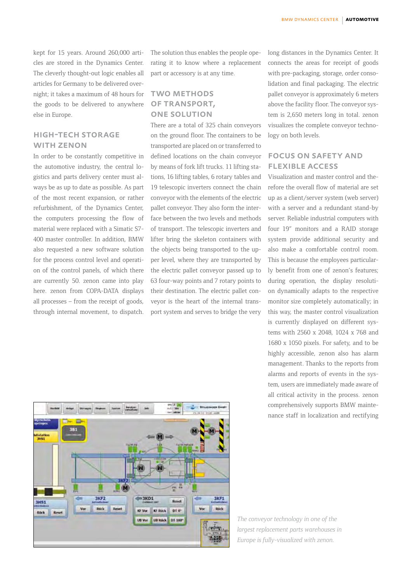kept for 15 years. Around 260,000 articles are stored in the Dynamics Center. The cleverly thought-out logic enables all articles for Germany to be delivered overnight; it takes a maximum of 48 hours for the goods to be delivered to anywhere else in Europe.

## high-tech storage WITH ZENON

In order to be constantly competitive in the automotive industry, the central logistics and parts delivery center must always be as up to date as possible. As part of the most recent expansion, or rather refurbishment, of the Dynamics Center, the computers processing the flow of material were replaced with a Simatic S7- 400 master controller. In addition, BMW also requested a new software solution for the process control level and operation of the control panels, of which there are currently 50. zenon came into play here. zenon from COPA-DATA displays all processes – from the receipt of goods, through internal movement, to dispatch.

The solution thus enables the people operating it to know where a replacement part or accessory is at any time.

## two methods of transport, one solution

There are a total of 325 chain conveyors on the ground floor. The containers to be transported are placed on or transferred to defined locations on the chain conveyor by means of fork lift trucks. 11 lifting stations, 16 lifting tables, 6 rotary tables and 19 telescopic inverters connect the chain conveyor with the elements of the electric pallet conveyor. They also form the interface between the two levels and methods of transport. The telescopic inverters and lifter bring the skeleton containers with the objects being transported to the upper level, where they are transported by the electric pallet conveyor passed up to 63 four-way points and 7 rotary points to their destination. The electric pallet conveyor is the heart of the internal transport system and serves to bridge the very

long distances in the Dynamics Center. It connects the areas for receipt of goods with pre-packaging, storage, order consolidation and final packaging. The electric pallet conveyor is approximately 6 meters above the facility floor. The conveyor system is 2,650 meters long in total. zenon visualizes the complete conveyor technology on both levels.

## focus on safety and flexible access

Visualization and master control and therefore the overall flow of material are set up as a client/server system (web server) with a server and a redundant stand-by server. Reliable industrial computers with four 19" monitors and a RAID storage system provide additional security and also make a comfortable control room. This is because the employees particularly benefit from one of zenon's features; during operation, the display resolution dynamically adapts to the respective monitor size completely automatically; in this way, the master control visualization is currently displayed on different systems with 2560 x 2048, 1024 x 768 and 1680 x 1050 pixels. For safety, and to be highly accessible, zenon also has alarm management. Thanks to the reports from alarms and reports of events in the system, users are immediately made aware of all critical activity in the process. zenon comprehensively supports BMW maintenance staff in localization and rectifying



*The conveyor technology in one of the largest replacement parts warehouses in Europe is fully-visualized with zenon.*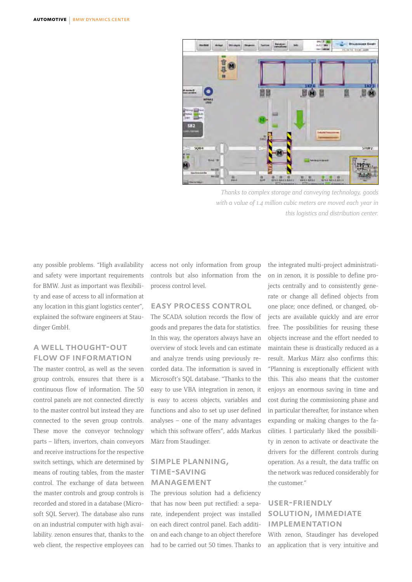

*Thanks to complex storage and conveying technology, goods with a value of 1.4 million cubic meters are moved each year in this logistics and distribution center.* 

any possible problems. "High availability and safety were important requirements for BMW. Just as important was flexibility and ease of access to all information at any location in this giant logistics center", explained the software engineers at Staudinger GmbH.

### a well thought-out flow of information

The master control, as well as the seven group controls, ensures that there is a continuous flow of information. The 50 control panels are not connected directly to the master control but instead they are connected to the seven group controls. These move the conveyor technology parts – lifters, invertors, chain conveyors and receive instructions for the respective switch settings, which are determined by means of routing tables, from the master control. The exchange of data between the master controls and group controls is recorded and stored in a database (Microsoft SQL Server). The database also runs on an industrial computer with high availability. zenon ensures that, thanks to the web client, the respective employees can

access not only information from group controls but also information from the process control level.

#### easy process control

The SCADA solution records the flow of goods and prepares the data for statistics. In this way, the operators always have an overview of stock levels and can estimate and analyze trends using previously recorded data. The information is saved in Microsoft's SQL database. "Thanks to the easy to use VBA integration in zenon, it is easy to access objects, variables and functions and also to set up user defined analyses – one of the many advantages which this software offers", adds Markus März from Staudinger.

## simple planning, time-saving **MANAGEMENT**

The previous solution had a deficiency that has now been put rectified: a separate, independent project was installed on each direct control panel. Each addition and each change to an object therefore had to be carried out 50 times. Thanks to

the integrated multi-project administration in zenon, it is possible to define projects centrally and to consistently generate or change all defined objects from one place; once defined, or changed, objects are available quickly and are error free. The possibilities for reusing these objects increase and the effort needed to maintain these is drastically reduced as a result. Markus März also confirms this: "Planning is exceptionally efficient with this. This also means that the customer enjoys an enormous saving in time and cost during the commissioning phase and in particular thereafter, for instance when expanding or making changes to the facilities. I particularly liked the possibility in zenon to activate or deactivate the drivers for the different controls during operation. As a result, the data traffic on the network was reduced considerably for the customer."

## user-friendly solution, immediate implementation With zenon, Staudinger has developed an application that is very intuitive and